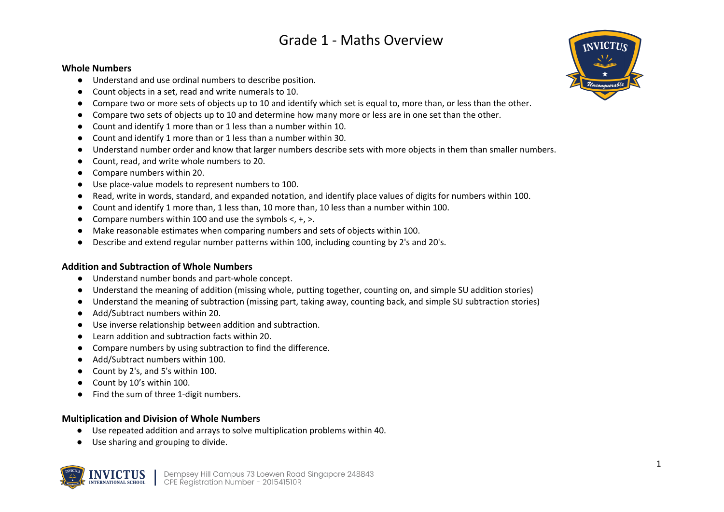# Grade 1 - Maths Overview

### **Whole Numbers**

- Understand and use ordinal numbers to describe position.
- Count objects in a set, read and write numerals to 10.
- Compare two or more sets of objects up to 10 and identify which set is equal to, more than, or less than the other.
- Compare two sets of objects up to 10 and determine how many more or less are in one set than the other.
- Count and identify 1 more than or 1 less than a number within 10.
- Count and identify 1 more than or 1 less than a number within 30.
- Understand number order and know that larger numbers describe sets with more objects in them than smaller numbers.
- Count, read, and write whole numbers to 20.
- Compare numbers within 20.
- Use place-value models to represent numbers to 100.
- Read, write in words, standard, and expanded notation, and identify place values of digits for numbers within 100.
- Count and identify 1 more than, 1 less than, 10 more than, 10 less than a number within 100.
- Compare numbers within 100 and use the symbols  $\lt$ ,  $+$ ,  $\gt$ .
- Make reasonable estimates when comparing numbers and sets of objects within 100.
- Describe and extend regular number patterns within 100, including counting by 2's and 20's.

# **Addition and Subtraction of Whole Numbers**

- Understand number bonds and part-whole concept.
- Understand the meaning of addition (missing whole, putting together, counting on, and simple SU addition stories)
- Understand the meaning of subtraction (missing part, taking away, counting back, and simple SU subtraction stories)
- Add/Subtract numbers within 20.
- Use inverse relationship between addition and subtraction.
- Learn addition and subtraction facts within 20.
- Compare numbers by using subtraction to find the difference.
- Add/Subtract numbers within 100.
- Count by 2's, and 5's within 100.
- Count by 10's within 100.
- Find the sum of three 1-digit numbers.

# **Multiplication and Division of Whole Numbers**

- Use repeated addition and arrays to solve multiplication problems within 40.
- Use sharing and grouping to divide.



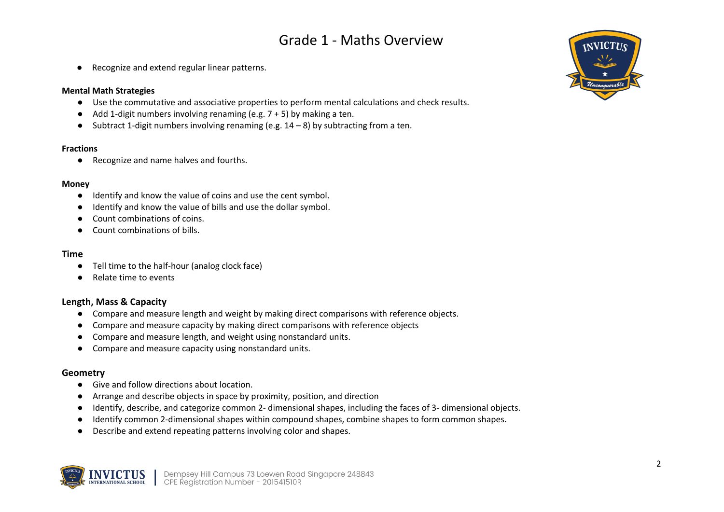# Grade 1 - Maths Overview

● Recognize and extend regular linear patterns.

#### **Mental Math Strategies**

- Use the commutative and associative properties to perform mental calculations and check results.
- $\bullet$  Add 1-digit numbers involving renaming (e.g.  $7 + 5$ ) by making a ten.
- Subtract 1-digit numbers involving renaming (e.g.  $14-8$ ) by subtracting from a ten.

#### **Fractions**

● Recognize and name halves and fourths.

#### **Money**

- Identify and know the value of coins and use the cent symbol.
- Identify and know the value of bills and use the dollar symbol.
- Count combinations of coins.
- Count combinations of bills.

#### **Time**

- Tell time to the half-hour (analog clock face)
- Relate time to events

# **Length, Mass & Capacity**

- Compare and measure length and weight by making direct comparisons with reference objects.
- Compare and measure capacity by making direct comparisons with reference objects
- Compare and measure length, and weight using nonstandard units.
- Compare and measure capacity using nonstandard units.

## **Geometry**

- Give and follow directions about location.
- Arrange and describe objects in space by proximity, position, and direction
- Identify, describe, and categorize common 2- dimensional shapes, including the faces of 3- dimensional objects.
- Identify common 2-dimensional shapes within compound shapes, combine shapes to form common shapes.
- Describe and extend repeating patterns involving color and shapes.